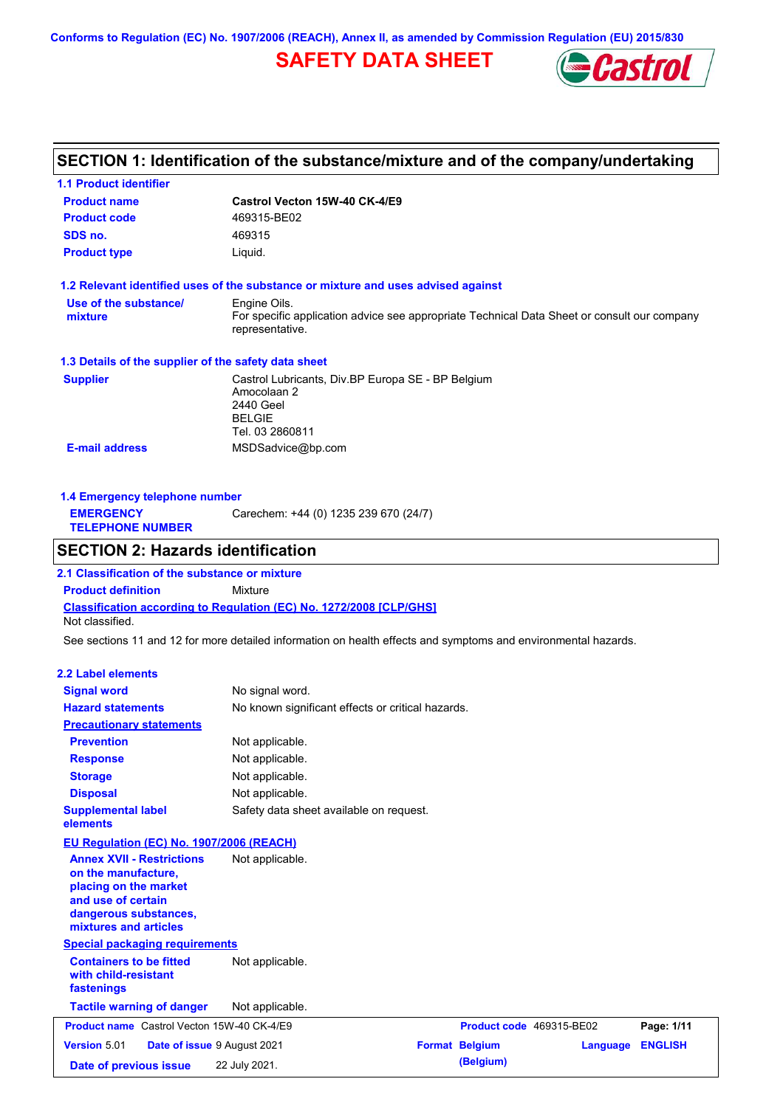**Conforms to Regulation (EC) No. 1907/2006 (REACH), Annex II, as amended by Commission Regulation (EU) 2015/830**

# **SAFETY DATA SHEET**



# **SECTION 1: Identification of the substance/mixture and of the company/undertaking**

| <b>1.1 Product identifier</b>                                                                                                                            |                                                                                                                   |                          |                 |                |
|----------------------------------------------------------------------------------------------------------------------------------------------------------|-------------------------------------------------------------------------------------------------------------------|--------------------------|-----------------|----------------|
| <b>Product name</b>                                                                                                                                      | Castrol Vecton 15W-40 CK-4/E9                                                                                     |                          |                 |                |
| <b>Product code</b>                                                                                                                                      | 469315-BE02                                                                                                       |                          |                 |                |
| SDS no.                                                                                                                                                  | 469315                                                                                                            |                          |                 |                |
| <b>Product type</b>                                                                                                                                      | Liquid.                                                                                                           |                          |                 |                |
|                                                                                                                                                          | 1.2 Relevant identified uses of the substance or mixture and uses advised against                                 |                          |                 |                |
| Use of the substance/                                                                                                                                    | Engine Oils.                                                                                                      |                          |                 |                |
| mixture                                                                                                                                                  | For specific application advice see appropriate Technical Data Sheet or consult our company<br>representative.    |                          |                 |                |
| 1.3 Details of the supplier of the safety data sheet                                                                                                     |                                                                                                                   |                          |                 |                |
| <b>Supplier</b>                                                                                                                                          | Castrol Lubricants, Div.BP Europa SE - BP Belgium<br>Amocolaan 2<br>2440 Geel<br><b>BELGIE</b><br>Tel. 03 2860811 |                          |                 |                |
| <b>E-mail address</b>                                                                                                                                    | MSDSadvice@bp.com                                                                                                 |                          |                 |                |
|                                                                                                                                                          |                                                                                                                   |                          |                 |                |
| 1.4 Emergency telephone number                                                                                                                           |                                                                                                                   |                          |                 |                |
| <b>EMERGENCY</b><br><b>TELEPHONE NUMBER</b>                                                                                                              | Carechem: +44 (0) 1235 239 670 (24/7)                                                                             |                          |                 |                |
| <b>SECTION 2: Hazards identification</b>                                                                                                                 |                                                                                                                   |                          |                 |                |
| 2.1 Classification of the substance or mixture                                                                                                           |                                                                                                                   |                          |                 |                |
| <b>Product definition</b>                                                                                                                                | Mixture                                                                                                           |                          |                 |                |
|                                                                                                                                                          | Classification according to Regulation (EC) No. 1272/2008 [CLP/GHS]                                               |                          |                 |                |
| Not classified.                                                                                                                                          |                                                                                                                   |                          |                 |                |
|                                                                                                                                                          | See sections 11 and 12 for more detailed information on health effects and symptoms and environmental hazards.    |                          |                 |                |
| <b>2.2 Label elements</b>                                                                                                                                |                                                                                                                   |                          |                 |                |
| <b>Signal word</b>                                                                                                                                       | No signal word.                                                                                                   |                          |                 |                |
| <b>Hazard statements</b>                                                                                                                                 | No known significant effects or critical hazards.                                                                 |                          |                 |                |
| <b>Precautionary statements</b>                                                                                                                          |                                                                                                                   |                          |                 |                |
| <b>Prevention</b>                                                                                                                                        | Not applicable.                                                                                                   |                          |                 |                |
| <b>Response</b>                                                                                                                                          | Not applicable.                                                                                                   |                          |                 |                |
| <b>Storage</b>                                                                                                                                           | Not applicable.                                                                                                   |                          |                 |                |
| <b>Disposal</b>                                                                                                                                          | Not applicable.                                                                                                   |                          |                 |                |
| <b>Supplemental label</b><br>elements                                                                                                                    | Safety data sheet available on request.                                                                           |                          |                 |                |
| EU Regulation (EC) No. 1907/2006 (REACH)                                                                                                                 |                                                                                                                   |                          |                 |                |
| <b>Annex XVII - Restrictions</b><br>on the manufacture,<br>placing on the market<br>and use of certain<br>dangerous substances,<br>mixtures and articles | Not applicable.                                                                                                   |                          |                 |                |
| <b>Special packaging requirements</b>                                                                                                                    |                                                                                                                   |                          |                 |                |
| <b>Containers to be fitted</b><br>with child-resistant<br>fastenings                                                                                     | Not applicable.                                                                                                   |                          |                 |                |
| <b>Tactile warning of danger</b>                                                                                                                         | Not applicable.                                                                                                   |                          |                 |                |
| Product name Castrol Vecton 15W-40 CK-4/E9                                                                                                               |                                                                                                                   | Product code 469315-BE02 |                 | Page: 1/11     |
| Version 5.01                                                                                                                                             | Date of issue 9 August 2021                                                                                       | <b>Format Belgium</b>    | <b>Language</b> | <b>ENGLISH</b> |
| Date of previous issue                                                                                                                                   | 22 July 2021.                                                                                                     | (Belgium)                |                 |                |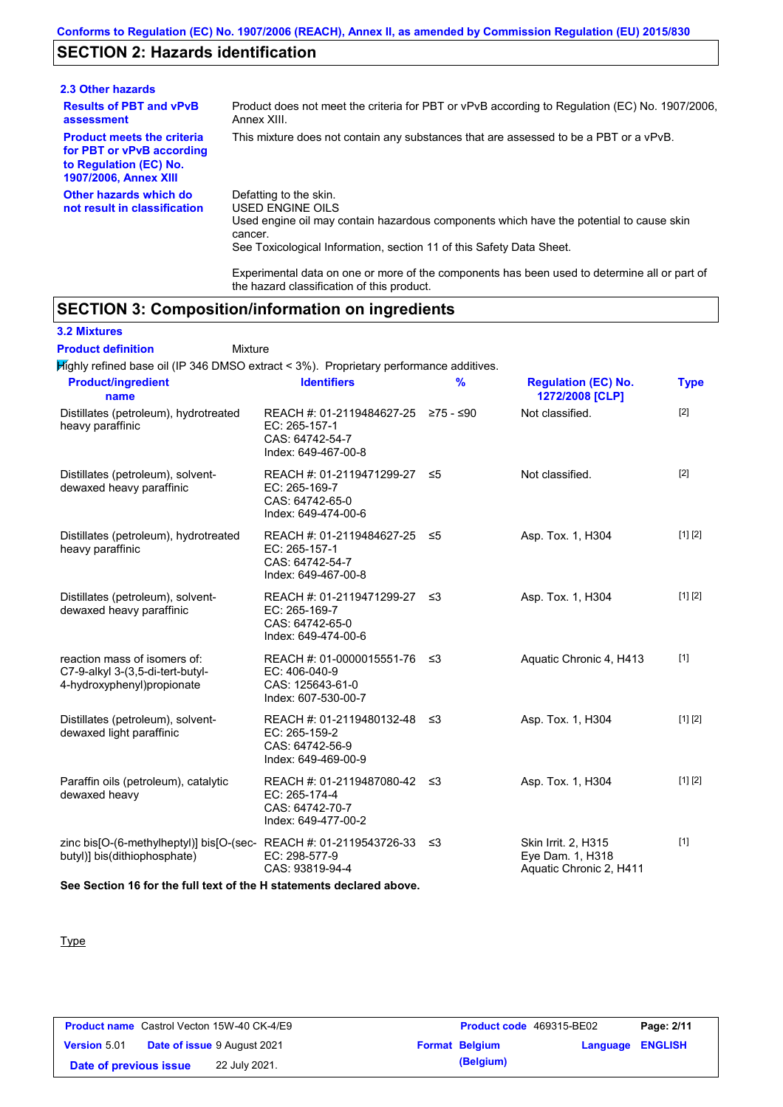## **SECTION 2: Hazards identification**

| 2.3 Other hazards                                                                                                        |                                                                                                                                                                                                                          |
|--------------------------------------------------------------------------------------------------------------------------|--------------------------------------------------------------------------------------------------------------------------------------------------------------------------------------------------------------------------|
| <b>Results of PBT and vPvB</b><br>assessment                                                                             | Product does not meet the criteria for PBT or vPvB according to Regulation (EC) No. 1907/2006,<br>Annex XIII.                                                                                                            |
| <b>Product meets the criteria</b><br>for PBT or vPvB according<br>to Regulation (EC) No.<br><b>1907/2006, Annex XIII</b> | This mixture does not contain any substances that are assessed to be a PBT or a vPvB.                                                                                                                                    |
| Other hazards which do<br>not result in classification                                                                   | Defatting to the skin.<br>USED ENGINE OILS<br>Used engine oil may contain hazardous components which have the potential to cause skin<br>cancer.<br>See Toxicological Information, section 11 of this Safety Data Sheet. |

Experimental data on one or more of the components has been used to determine all or part of the hazard classification of this product.

## **SECTION 3: Composition/information on ingredients**

**3.2 Mixtures**

Mixture **Product definition**

Highly refined base oil (IP 346 DMSO extract < 3%). Proprietary performance additives.

| <b>Product/ingredient</b><br>name                                                                    | <b>Identifiers</b>                                                                             | $\frac{9}{6}$ | <b>Regulation (EC) No.</b><br>1272/2008 [CLP]                      | <b>Type</b> |
|------------------------------------------------------------------------------------------------------|------------------------------------------------------------------------------------------------|---------------|--------------------------------------------------------------------|-------------|
| Distillates (petroleum), hydrotreated<br>heavy paraffinic                                            | REACH #: 01-2119484627-25 ≥75 - ≤90<br>EC: 265-157-1<br>CAS: 64742-54-7<br>Index: 649-467-00-8 |               | Not classified.                                                    | [2]         |
| Distillates (petroleum), solvent-<br>dewaxed heavy paraffinic                                        | REACH #: 01-2119471299-27 ≤5<br>EC: 265-169-7<br>CAS: 64742-65-0<br>Index: 649-474-00-6        |               | Not classified.                                                    | $[2]$       |
| Distillates (petroleum), hydrotreated<br>heavy paraffinic                                            | REACH #: 01-2119484627-25 ≤5<br>EC: 265-157-1<br>CAS: 64742-54-7<br>Index: 649-467-00-8        |               | Asp. Tox. 1, H304                                                  | [1] [2]     |
| Distillates (petroleum), solvent-<br>dewaxed heavy paraffinic                                        | REACH #: 01-2119471299-27 ≤3<br>EC: 265-169-7<br>CAS: 64742-65-0<br>Index: 649-474-00-6        |               | Asp. Tox. 1, H304                                                  | [1] [2]     |
| reaction mass of isomers of:<br>C7-9-alkyl 3-(3,5-di-tert-butyl-<br>4-hydroxyphenyl)propionate       | REACH #: 01-0000015551-76 ≤3<br>EC: 406-040-9<br>CAS: 125643-61-0<br>Index: 607-530-00-7       |               | Aquatic Chronic 4, H413                                            | $[1]$       |
| Distillates (petroleum), solvent-<br>dewaxed light paraffinic                                        | REACH #: 01-2119480132-48 ≤3<br>EC: 265-159-2<br>CAS: 64742-56-9<br>Index: 649-469-00-9        |               | Asp. Tox. 1, H304                                                  | [1] [2]     |
| Paraffin oils (petroleum), catalytic<br>dewaxed heavy                                                | REACH #: 01-2119487080-42<br>EC: 265-174-4<br>CAS: 64742-70-7<br>Index: 649-477-00-2           | ב≥            | Asp. Tox. 1, H304                                                  | [1] [2]     |
| zinc bis[O-(6-methylheptyl)] bis[O-(sec-REACH #: 01-2119543726-33 ≤3<br>butyl)] bis(dithiophosphate) | EC: 298-577-9<br>CAS: 93819-94-4                                                               |               | Skin Irrit. 2, H315<br>Eye Dam. 1, H318<br>Aquatic Chronic 2, H411 | $[1]$       |

**See Section 16 for the full text of the H statements declared above.**

**Type** 

|                        | <b>Product name</b> Castrol Vecton 15W-40 CK-4/E9 | <b>Product code</b> 469315-BE02 |                         | Page: 2/11 |
|------------------------|---------------------------------------------------|---------------------------------|-------------------------|------------|
| <b>Version 5.01</b>    | <b>Date of issue 9 August 2021</b>                | <b>Format Belgium</b>           | <b>Language ENGLISH</b> |            |
| Date of previous issue | 22 July 2021.                                     | (Belgium)                       |                         |            |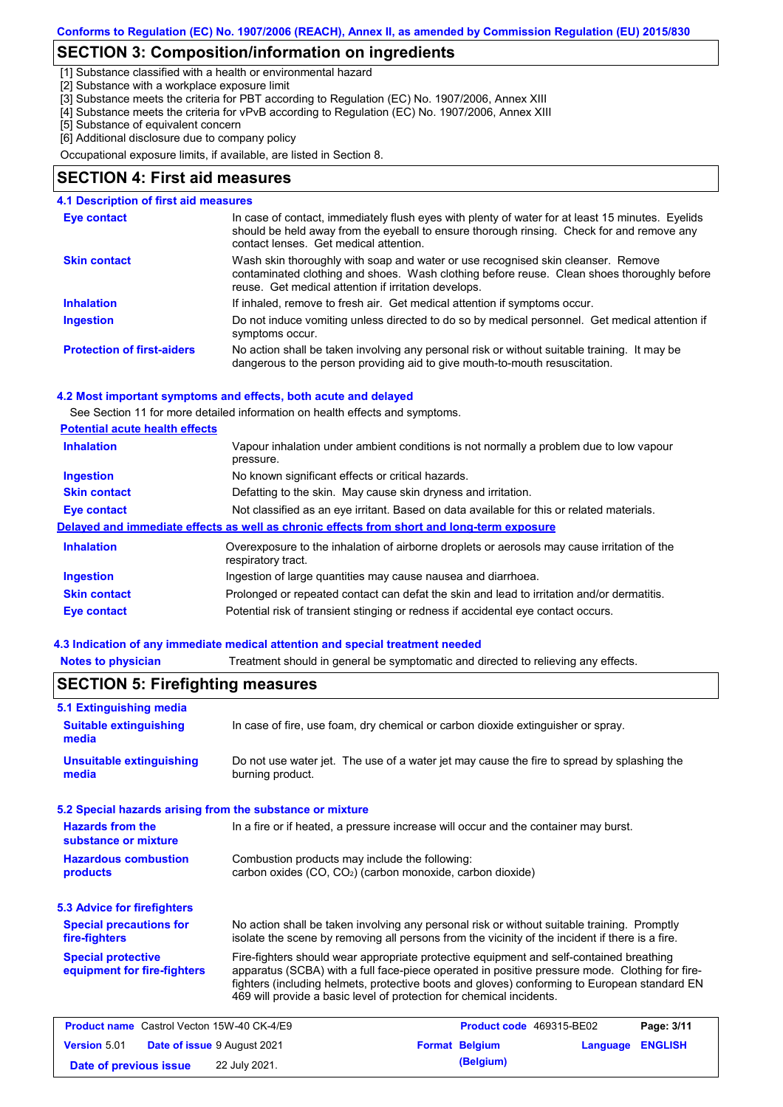## **SECTION 3: Composition/information on ingredients**

[1] Substance classified with a health or environmental hazard

[2] Substance with a workplace exposure limit

[3] Substance meets the criteria for PBT according to Regulation (EC) No. 1907/2006, Annex XIII

[4] Substance meets the criteria for vPvB according to Regulation (EC) No. 1907/2006, Annex XIII

[5] Substance of equivalent concern [6] Additional disclosure due to company policy

Occupational exposure limits, if available, are listed in Section 8.

### **SECTION 4: First aid measures**

### **4.1 Description of first aid measures**

| Eye contact                       | In case of contact, immediately flush eyes with plenty of water for at least 15 minutes. Eyelids<br>should be held away from the eyeball to ensure thorough rinsing. Check for and remove any<br>contact lenses. Get medical attention. |
|-----------------------------------|-----------------------------------------------------------------------------------------------------------------------------------------------------------------------------------------------------------------------------------------|
| <b>Skin contact</b>               | Wash skin thoroughly with soap and water or use recognised skin cleanser. Remove<br>contaminated clothing and shoes. Wash clothing before reuse. Clean shoes thoroughly before<br>reuse. Get medical attention if irritation develops.  |
| <b>Inhalation</b>                 | If inhaled, remove to fresh air. Get medical attention if symptoms occur.                                                                                                                                                               |
| <b>Ingestion</b>                  | Do not induce vomiting unless directed to do so by medical personnel. Get medical attention if<br>symptoms occur.                                                                                                                       |
| <b>Protection of first-aiders</b> | No action shall be taken involving any personal risk or without suitable training. It may be<br>dangerous to the person providing aid to give mouth-to-mouth resuscitation.                                                             |

#### **4.2 Most important symptoms and effects, both acute and delayed**

See Section 11 for more detailed information on health effects and symptoms.

| <b>Potential acute health effects</b> |
|---------------------------------------|
|---------------------------------------|

| <b>Inhalation</b>   | Vapour inhalation under ambient conditions is not normally a problem due to low vapour<br>pressure.               |
|---------------------|-------------------------------------------------------------------------------------------------------------------|
| <b>Ingestion</b>    | No known significant effects or critical hazards.                                                                 |
| <b>Skin contact</b> | Defatting to the skin. May cause skin dryness and irritation.                                                     |
| <b>Eye contact</b>  | Not classified as an eye irritant. Based on data available for this or related materials.                         |
|                     | Delayed and immediate effects as well as chronic effects from short and long-term exposure                        |
| <b>Inhalation</b>   | Overexposure to the inhalation of airborne droplets or aerosols may cause irritation of the<br>respiratory tract. |
| <b>Ingestion</b>    | Ingestion of large quantities may cause nausea and diarrhoea.                                                     |
| <b>Skin contact</b> | Prolonged or repeated contact can defat the skin and lead to irritation and/or dermatitis.                        |
| Eye contact         | Potential risk of transient stinging or redness if accidental eye contact occurs.                                 |
|                     |                                                                                                                   |

### **4.3 Indication of any immediate medical attention and special treatment needed**

**Notes to physician** Treatment should in general be symptomatic and directed to relieving any effects.

|                                                           | <b>SECTION 5: Firefighting measures</b>                                                                                                                                                                                                                                                                                                                           |  |  |  |  |
|-----------------------------------------------------------|-------------------------------------------------------------------------------------------------------------------------------------------------------------------------------------------------------------------------------------------------------------------------------------------------------------------------------------------------------------------|--|--|--|--|
| <b>5.1 Extinguishing media</b>                            |                                                                                                                                                                                                                                                                                                                                                                   |  |  |  |  |
| <b>Suitable extinguishing</b><br>media                    | In case of fire, use foam, dry chemical or carbon dioxide extinguisher or spray.                                                                                                                                                                                                                                                                                  |  |  |  |  |
| <b>Unsuitable extinguishing</b><br>media                  | Do not use water jet. The use of a water jet may cause the fire to spread by splashing the<br>burning product.                                                                                                                                                                                                                                                    |  |  |  |  |
| 5.2 Special hazards arising from the substance or mixture |                                                                                                                                                                                                                                                                                                                                                                   |  |  |  |  |
| <b>Hazards from the</b><br>substance or mixture           | In a fire or if heated, a pressure increase will occur and the container may burst.                                                                                                                                                                                                                                                                               |  |  |  |  |
| <b>Hazardous combustion</b><br>products                   | Combustion products may include the following:<br>carbon oxides (CO, CO <sub>2</sub> ) (carbon monoxide, carbon dioxide)                                                                                                                                                                                                                                          |  |  |  |  |
| <b>5.3 Advice for firefighters</b>                        |                                                                                                                                                                                                                                                                                                                                                                   |  |  |  |  |
| <b>Special precautions for</b><br>fire-fighters           | No action shall be taken involving any personal risk or without suitable training. Promptly<br>isolate the scene by removing all persons from the vicinity of the incident if there is a fire.                                                                                                                                                                    |  |  |  |  |
| <b>Special protective</b><br>equipment for fire-fighters  | Fire-fighters should wear appropriate protective equipment and self-contained breathing<br>apparatus (SCBA) with a full face-piece operated in positive pressure mode. Clothing for fire-<br>fighters (including helmets, protective boots and gloves) conforming to European standard EN<br>469 will provide a basic level of protection for chemical incidents. |  |  |  |  |
| <b>Product name</b> Castrol Vecton 15W-40 CK-4/E9         | Product code 469315-BE02<br>Page: 3/11                                                                                                                                                                                                                                                                                                                            |  |  |  |  |
| <b>Version 5.01</b><br>Date of issue 9 August 2021        | <b>ENGLISH</b><br><b>Format Belgium</b><br>Language                                                                                                                                                                                                                                                                                                               |  |  |  |  |
| Date of previous issue                                    | (Belgium)<br>22 July 2021.                                                                                                                                                                                                                                                                                                                                        |  |  |  |  |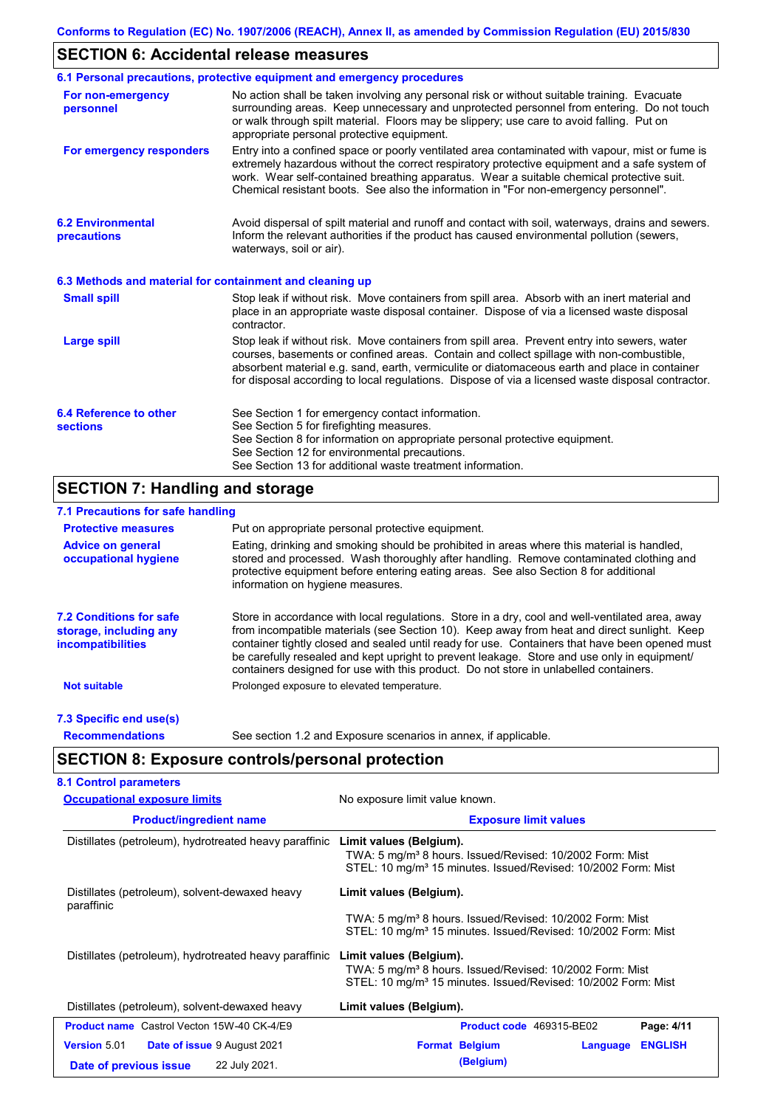## **SECTION 6: Accidental release measures**

|                                                          | 6.1 Personal precautions, protective equipment and emergency procedures                                                                                                                                                                                                                                                                                                                        |
|----------------------------------------------------------|------------------------------------------------------------------------------------------------------------------------------------------------------------------------------------------------------------------------------------------------------------------------------------------------------------------------------------------------------------------------------------------------|
| For non-emergency<br>personnel                           | No action shall be taken involving any personal risk or without suitable training. Evacuate<br>surrounding areas. Keep unnecessary and unprotected personnel from entering. Do not touch<br>or walk through spilt material. Floors may be slippery; use care to avoid falling. Put on<br>appropriate personal protective equipment.                                                            |
| For emergency responders                                 | Entry into a confined space or poorly ventilated area contaminated with vapour, mist or fume is<br>extremely hazardous without the correct respiratory protective equipment and a safe system of<br>work. Wear self-contained breathing apparatus. Wear a suitable chemical protective suit.<br>Chemical resistant boots. See also the information in "For non-emergency personnel".           |
| <b>6.2 Environmental</b><br>precautions                  | Avoid dispersal of spilt material and runoff and contact with soil, waterways, drains and sewers.<br>Inform the relevant authorities if the product has caused environmental pollution (sewers,<br>waterways, soil or air).                                                                                                                                                                    |
| 6.3 Methods and material for containment and cleaning up |                                                                                                                                                                                                                                                                                                                                                                                                |
| <b>Small spill</b>                                       | Stop leak if without risk. Move containers from spill area. Absorb with an inert material and<br>place in an appropriate waste disposal container. Dispose of via a licensed waste disposal<br>contractor.                                                                                                                                                                                     |
| <b>Large spill</b>                                       | Stop leak if without risk. Move containers from spill area. Prevent entry into sewers, water<br>courses, basements or confined areas. Contain and collect spillage with non-combustible,<br>absorbent material e.g. sand, earth, vermiculite or diatomaceous earth and place in container<br>for disposal according to local regulations. Dispose of via a licensed waste disposal contractor. |
| 6.4 Reference to other<br><b>sections</b>                | See Section 1 for emergency contact information.<br>See Section 5 for firefighting measures.<br>See Section 8 for information on appropriate personal protective equipment.<br>See Section 12 for environmental precautions.<br>See Section 13 for additional waste treatment information.                                                                                                     |

## **SECTION 7: Handling and storage**

### **7.1 Precautions for safe handling**

| <b>Protective measures</b>                                                           | Put on appropriate personal protective equipment.                                                                                                                                                                                                                                                                                                                                                                                                                                        |
|--------------------------------------------------------------------------------------|------------------------------------------------------------------------------------------------------------------------------------------------------------------------------------------------------------------------------------------------------------------------------------------------------------------------------------------------------------------------------------------------------------------------------------------------------------------------------------------|
| <b>Advice on general</b><br>occupational hygiene                                     | Eating, drinking and smoking should be prohibited in areas where this material is handled,<br>stored and processed. Wash thoroughly after handling. Remove contaminated clothing and<br>protective equipment before entering eating areas. See also Section 8 for additional<br>information on hygiene measures.                                                                                                                                                                         |
| <b>7.2 Conditions for safe</b><br>storage, including any<br><i>incompatibilities</i> | Store in accordance with local requiations. Store in a dry, cool and well-ventilated area, away<br>from incompatible materials (see Section 10). Keep away from heat and direct sunlight. Keep<br>container tightly closed and sealed until ready for use. Containers that have been opened must<br>be carefully resealed and kept upright to prevent leakage. Store and use only in equipment/<br>containers designed for use with this product. Do not store in unlabelled containers. |
| <b>Not suitable</b>                                                                  | Prolonged exposure to elevated temperature.                                                                                                                                                                                                                                                                                                                                                                                                                                              |
| 7.3 Specific end use(s)                                                              |                                                                                                                                                                                                                                                                                                                                                                                                                                                                                          |
| <b>Recommendations</b>                                                               | See section 1.2 and Exposure scenarios in annex, if applicable.                                                                                                                                                                                                                                                                                                                                                                                                                          |

**SECTION 8: Exposure controls/personal protection**

| <b>Occupational exposure limits</b>                          | No exposure limit value known.                                                                                                                                               |  |  |
|--------------------------------------------------------------|------------------------------------------------------------------------------------------------------------------------------------------------------------------------------|--|--|
| <b>Product/ingredient name</b>                               | <b>Exposure limit values</b>                                                                                                                                                 |  |  |
| Distillates (petroleum), hydrotreated heavy paraffinic       | Limit values (Belgium).<br>TWA: 5 mg/m <sup>3</sup> 8 hours. Issued/Revised: 10/2002 Form: Mist<br>STEL: 10 mg/m <sup>3</sup> 15 minutes. Issued/Revised: 10/2002 Form: Mist |  |  |
| Distillates (petroleum), solvent-dewaxed heavy<br>paraffinic | Limit values (Belgium).                                                                                                                                                      |  |  |
|                                                              | TWA: 5 mg/m <sup>3</sup> 8 hours. Issued/Revised: 10/2002 Form: Mist<br>STEL: 10 mg/m <sup>3</sup> 15 minutes. Issued/Revised: 10/2002 Form: Mist                            |  |  |
| Distillates (petroleum), hydrotreated heavy paraffinic       | Limit values (Belgium).<br>TWA: 5 mg/m <sup>3</sup> 8 hours. Issued/Revised: 10/2002 Form: Mist<br>STEL: 10 mg/m <sup>3</sup> 15 minutes. Issued/Revised: 10/2002 Form: Mist |  |  |
| Distillates (petroleum), solvent-dewaxed heavy               | Limit values (Belgium).                                                                                                                                                      |  |  |
| <b>Product name</b> Castrol Vecton 15W-40 CK-4/E9            | Product code 469315-BE02<br>Page: 4/11                                                                                                                                       |  |  |
| <b>Version</b> 5.01<br><b>Date of issue 9 August 2021</b>    | <b>Format Belgium</b><br><b>ENGLISH</b><br>Language                                                                                                                          |  |  |
| 22 July 2021.<br>Date of previous issue                      | (Belgium)                                                                                                                                                                    |  |  |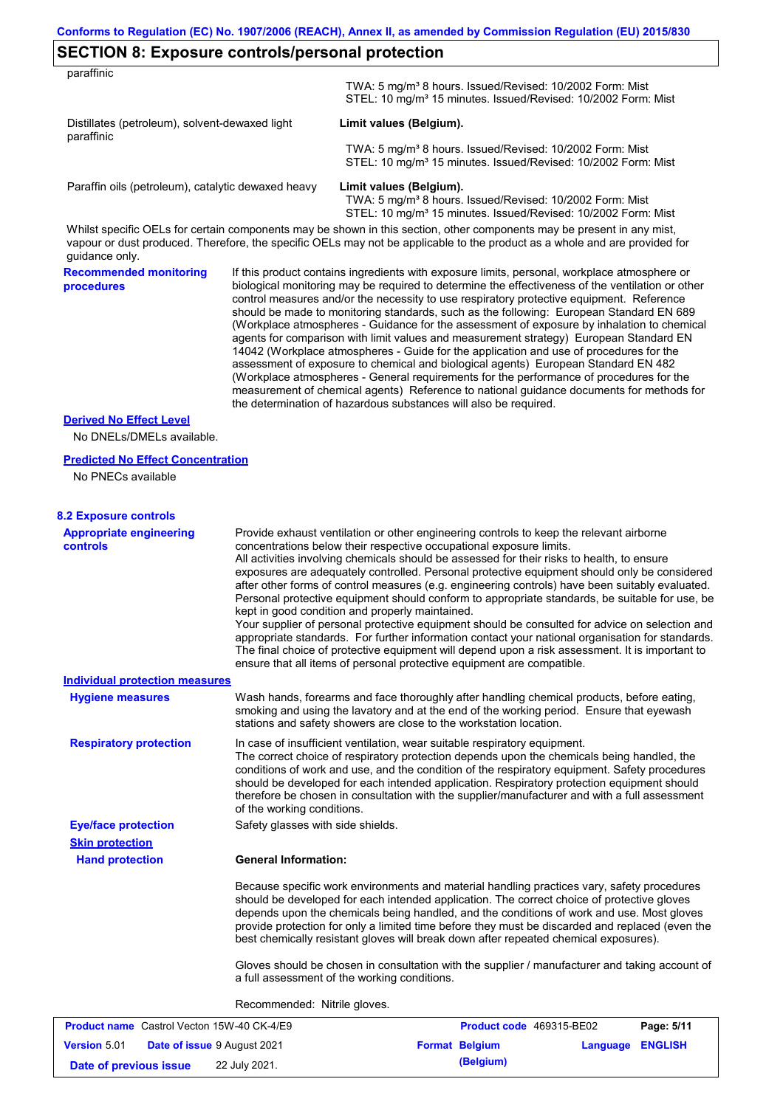## **SECTION 8: Exposure controls/personal protection**

**Version** 5.01

| paraffinic                                                     |                                   |                                                                                                                                                                                                                                                                                                                                                                                                                                                                                                                                                                                                                                                                                                                                                                                                                                                                                                                                                                                                                            |            |
|----------------------------------------------------------------|-----------------------------------|----------------------------------------------------------------------------------------------------------------------------------------------------------------------------------------------------------------------------------------------------------------------------------------------------------------------------------------------------------------------------------------------------------------------------------------------------------------------------------------------------------------------------------------------------------------------------------------------------------------------------------------------------------------------------------------------------------------------------------------------------------------------------------------------------------------------------------------------------------------------------------------------------------------------------------------------------------------------------------------------------------------------------|------------|
|                                                                |                                   | TWA: 5 mg/m <sup>3</sup> 8 hours. Issued/Revised: 10/2002 Form: Mist<br>STEL: 10 mg/m <sup>3</sup> 15 minutes. Issued/Revised: 10/2002 Form: Mist                                                                                                                                                                                                                                                                                                                                                                                                                                                                                                                                                                                                                                                                                                                                                                                                                                                                          |            |
| Distillates (petroleum), solvent-dewaxed light<br>paraffinic   |                                   | Limit values (Belgium).                                                                                                                                                                                                                                                                                                                                                                                                                                                                                                                                                                                                                                                                                                                                                                                                                                                                                                                                                                                                    |            |
|                                                                |                                   | TWA: 5 mg/m <sup>3</sup> 8 hours. Issued/Revised: 10/2002 Form: Mist<br>STEL: 10 mg/m <sup>3</sup> 15 minutes. Issued/Revised: 10/2002 Form: Mist                                                                                                                                                                                                                                                                                                                                                                                                                                                                                                                                                                                                                                                                                                                                                                                                                                                                          |            |
| Paraffin oils (petroleum), catalytic dewaxed heavy             |                                   | Limit values (Belgium).<br>TWA: 5 mg/m <sup>3</sup> 8 hours. Issued/Revised: 10/2002 Form: Mist<br>STEL: 10 mg/m <sup>3</sup> 15 minutes. Issued/Revised: 10/2002 Form: Mist                                                                                                                                                                                                                                                                                                                                                                                                                                                                                                                                                                                                                                                                                                                                                                                                                                               |            |
| guidance only.                                                 |                                   | Whilst specific OELs for certain components may be shown in this section, other components may be present in any mist,<br>vapour or dust produced. Therefore, the specific OELs may not be applicable to the product as a whole and are provided for                                                                                                                                                                                                                                                                                                                                                                                                                                                                                                                                                                                                                                                                                                                                                                       |            |
| <b>Recommended monitoring</b><br>procedures                    |                                   | If this product contains ingredients with exposure limits, personal, workplace atmosphere or<br>biological monitoring may be required to determine the effectiveness of the ventilation or other<br>control measures and/or the necessity to use respiratory protective equipment. Reference<br>should be made to monitoring standards, such as the following: European Standard EN 689<br>(Workplace atmospheres - Guidance for the assessment of exposure by inhalation to chemical<br>agents for comparison with limit values and measurement strategy) European Standard EN<br>14042 (Workplace atmospheres - Guide for the application and use of procedures for the<br>assessment of exposure to chemical and biological agents) European Standard EN 482<br>(Workplace atmospheres - General requirements for the performance of procedures for the<br>measurement of chemical agents) Reference to national guidance documents for methods for<br>the determination of hazardous substances will also be required. |            |
| <b>Derived No Effect Level</b><br>No DNELs/DMELs available.    |                                   |                                                                                                                                                                                                                                                                                                                                                                                                                                                                                                                                                                                                                                                                                                                                                                                                                                                                                                                                                                                                                            |            |
| <b>Predicted No Effect Concentration</b><br>No PNECs available |                                   |                                                                                                                                                                                                                                                                                                                                                                                                                                                                                                                                                                                                                                                                                                                                                                                                                                                                                                                                                                                                                            |            |
| <b>8.2 Exposure controls</b>                                   |                                   |                                                                                                                                                                                                                                                                                                                                                                                                                                                                                                                                                                                                                                                                                                                                                                                                                                                                                                                                                                                                                            |            |
| <b>Appropriate engineering</b><br><b>controls</b>              |                                   | Provide exhaust ventilation or other engineering controls to keep the relevant airborne<br>concentrations below their respective occupational exposure limits.<br>All activities involving chemicals should be assessed for their risks to health, to ensure<br>exposures are adequately controlled. Personal protective equipment should only be considered<br>after other forms of control measures (e.g. engineering controls) have been suitably evaluated.<br>Personal protective equipment should conform to appropriate standards, be suitable for use, be<br>kept in good condition and properly maintained.<br>Your supplier of personal protective equipment should be consulted for advice on selection and<br>appropriate standards. For further information contact your national organisation for standards.<br>The final choice of protective equipment will depend upon a risk assessment. It is important to<br>ensure that all items of personal protective equipment are compatible.                    |            |
| <b>Individual protection measures</b>                          |                                   |                                                                                                                                                                                                                                                                                                                                                                                                                                                                                                                                                                                                                                                                                                                                                                                                                                                                                                                                                                                                                            |            |
| <b>Hygiene measures</b>                                        |                                   | Wash hands, forearms and face thoroughly after handling chemical products, before eating,<br>smoking and using the lavatory and at the end of the working period. Ensure that eyewash<br>stations and safety showers are close to the workstation location.                                                                                                                                                                                                                                                                                                                                                                                                                                                                                                                                                                                                                                                                                                                                                                |            |
| <b>Respiratory protection</b>                                  | of the working conditions.        | In case of insufficient ventilation, wear suitable respiratory equipment.<br>The correct choice of respiratory protection depends upon the chemicals being handled, the<br>conditions of work and use, and the condition of the respiratory equipment. Safety procedures<br>should be developed for each intended application. Respiratory protection equipment should<br>therefore be chosen in consultation with the supplier/manufacturer and with a full assessment                                                                                                                                                                                                                                                                                                                                                                                                                                                                                                                                                    |            |
| <b>Eye/face protection</b>                                     | Safety glasses with side shields. |                                                                                                                                                                                                                                                                                                                                                                                                                                                                                                                                                                                                                                                                                                                                                                                                                                                                                                                                                                                                                            |            |
| <b>Skin protection</b>                                         | <b>General Information:</b>       |                                                                                                                                                                                                                                                                                                                                                                                                                                                                                                                                                                                                                                                                                                                                                                                                                                                                                                                                                                                                                            |            |
| <b>Hand protection</b>                                         |                                   | Because specific work environments and material handling practices vary, safety procedures<br>should be developed for each intended application. The correct choice of protective gloves<br>depends upon the chemicals being handled, and the conditions of work and use. Most gloves<br>provide protection for only a limited time before they must be discarded and replaced (even the<br>best chemically resistant gloves will break down after repeated chemical exposures).                                                                                                                                                                                                                                                                                                                                                                                                                                                                                                                                           |            |
|                                                                |                                   | Gloves should be chosen in consultation with the supplier / manufacturer and taking account of<br>a full assessment of the working conditions.                                                                                                                                                                                                                                                                                                                                                                                                                                                                                                                                                                                                                                                                                                                                                                                                                                                                             |            |
|                                                                | Recommended: Nitrile gloves.      |                                                                                                                                                                                                                                                                                                                                                                                                                                                                                                                                                                                                                                                                                                                                                                                                                                                                                                                                                                                                                            |            |
| <b>Product name</b> Castrol Vecton 15W-40 CK-4/E9              |                                   | Product code 469315-BE02                                                                                                                                                                                                                                                                                                                                                                                                                                                                                                                                                                                                                                                                                                                                                                                                                                                                                                                                                                                                   | Page: 5/11 |

**Date of issue** 9 August 2021 **Format Belgium Language ENGLISH**

**Date of previous issue** 22 July 2021.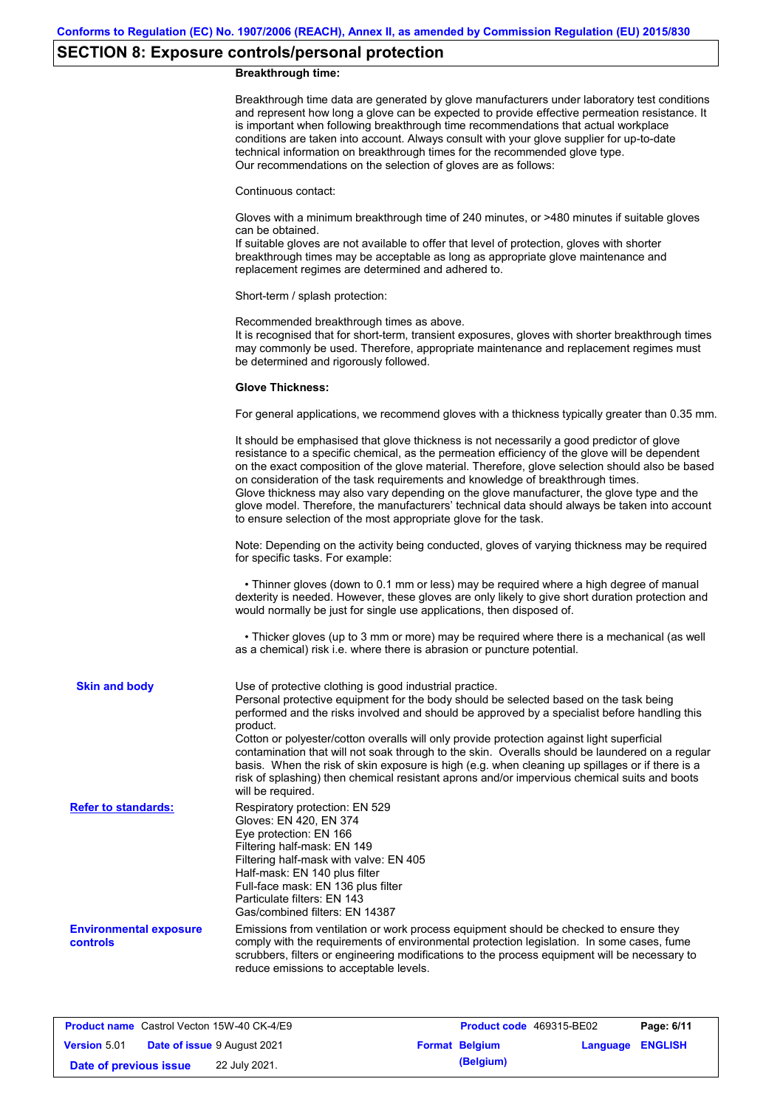# **SECTION 8: Exposure controls/personal protection**

### **Breakthrough time:**

|                                                  | Breakthrough time data are generated by glove manufacturers under laboratory test conditions<br>and represent how long a glove can be expected to provide effective permeation resistance. It<br>is important when following breakthrough time recommendations that actual workplace<br>conditions are taken into account. Always consult with your glove supplier for up-to-date<br>technical information on breakthrough times for the recommended glove type.<br>Our recommendations on the selection of gloves are as follows:                                                                                                                               |
|--------------------------------------------------|------------------------------------------------------------------------------------------------------------------------------------------------------------------------------------------------------------------------------------------------------------------------------------------------------------------------------------------------------------------------------------------------------------------------------------------------------------------------------------------------------------------------------------------------------------------------------------------------------------------------------------------------------------------|
|                                                  | Continuous contact:                                                                                                                                                                                                                                                                                                                                                                                                                                                                                                                                                                                                                                              |
|                                                  | Gloves with a minimum breakthrough time of 240 minutes, or >480 minutes if suitable gloves<br>can be obtained.<br>If suitable gloves are not available to offer that level of protection, gloves with shorter<br>breakthrough times may be acceptable as long as appropriate glove maintenance and<br>replacement regimes are determined and adhered to.                                                                                                                                                                                                                                                                                                         |
|                                                  | Short-term / splash protection:                                                                                                                                                                                                                                                                                                                                                                                                                                                                                                                                                                                                                                  |
|                                                  | Recommended breakthrough times as above.<br>It is recognised that for short-term, transient exposures, gloves with shorter breakthrough times<br>may commonly be used. Therefore, appropriate maintenance and replacement regimes must<br>be determined and rigorously followed.                                                                                                                                                                                                                                                                                                                                                                                 |
|                                                  | <b>Glove Thickness:</b>                                                                                                                                                                                                                                                                                                                                                                                                                                                                                                                                                                                                                                          |
|                                                  | For general applications, we recommend gloves with a thickness typically greater than 0.35 mm.                                                                                                                                                                                                                                                                                                                                                                                                                                                                                                                                                                   |
|                                                  | It should be emphasised that glove thickness is not necessarily a good predictor of glove<br>resistance to a specific chemical, as the permeation efficiency of the glove will be dependent<br>on the exact composition of the glove material. Therefore, glove selection should also be based<br>on consideration of the task requirements and knowledge of breakthrough times.<br>Glove thickness may also vary depending on the glove manufacturer, the glove type and the<br>glove model. Therefore, the manufacturers' technical data should always be taken into account<br>to ensure selection of the most appropriate glove for the task.                |
|                                                  | Note: Depending on the activity being conducted, gloves of varying thickness may be required<br>for specific tasks. For example:                                                                                                                                                                                                                                                                                                                                                                                                                                                                                                                                 |
|                                                  | • Thinner gloves (down to 0.1 mm or less) may be required where a high degree of manual<br>dexterity is needed. However, these gloves are only likely to give short duration protection and<br>would normally be just for single use applications, then disposed of.                                                                                                                                                                                                                                                                                                                                                                                             |
|                                                  | • Thicker gloves (up to 3 mm or more) may be required where there is a mechanical (as well<br>as a chemical) risk i.e. where there is abrasion or puncture potential.                                                                                                                                                                                                                                                                                                                                                                                                                                                                                            |
| <b>Skin and body</b>                             | Use of protective clothing is good industrial practice.<br>Personal protective equipment for the body should be selected based on the task being<br>performed and the risks involved and should be approved by a specialist before handling this<br>product.<br>Cotton or polyester/cotton overalls will only provide protection against light superficial<br>contamination that will not soak through to the skin. Overalls should be laundered on a regular<br>basis. When the risk of skin exposure is high (e.g. when cleaning up spillages or if there is a<br>risk of splashing) then chemical resistant aprons and/or impervious chemical suits and boots |
| <b>Refer to standards:</b>                       | will be required.<br>Respiratory protection: EN 529<br>Gloves: EN 420, EN 374<br>Eye protection: EN 166<br>Filtering half-mask: EN 149<br>Filtering half-mask with valve: EN 405<br>Half-mask: EN 140 plus filter<br>Full-face mask: EN 136 plus filter<br>Particulate filters: EN 143<br>Gas/combined filters: EN 14387                                                                                                                                                                                                                                                                                                                                         |
| <b>Environmental exposure</b><br><b>controls</b> | Emissions from ventilation or work process equipment should be checked to ensure they<br>comply with the requirements of environmental protection legislation. In some cases, fume<br>scrubbers, filters or engineering modifications to the process equipment will be necessary to<br>reduce emissions to acceptable levels.                                                                                                                                                                                                                                                                                                                                    |
|                                                  |                                                                                                                                                                                                                                                                                                                                                                                                                                                                                                                                                                                                                                                                  |

| <b>Product name</b> Castrol Vecton 15W-40 CK-4/E9 |  |                                    | <b>Product code</b> 469315-BE02 |                       | Page: 6/11              |  |
|---------------------------------------------------|--|------------------------------------|---------------------------------|-----------------------|-------------------------|--|
| <b>Version 5.01</b>                               |  | <b>Date of issue 9 August 2021</b> |                                 | <b>Format Belgium</b> | <b>Language ENGLISH</b> |  |
| Date of previous issue                            |  | 22 July 2021.                      |                                 | (Belgium)             |                         |  |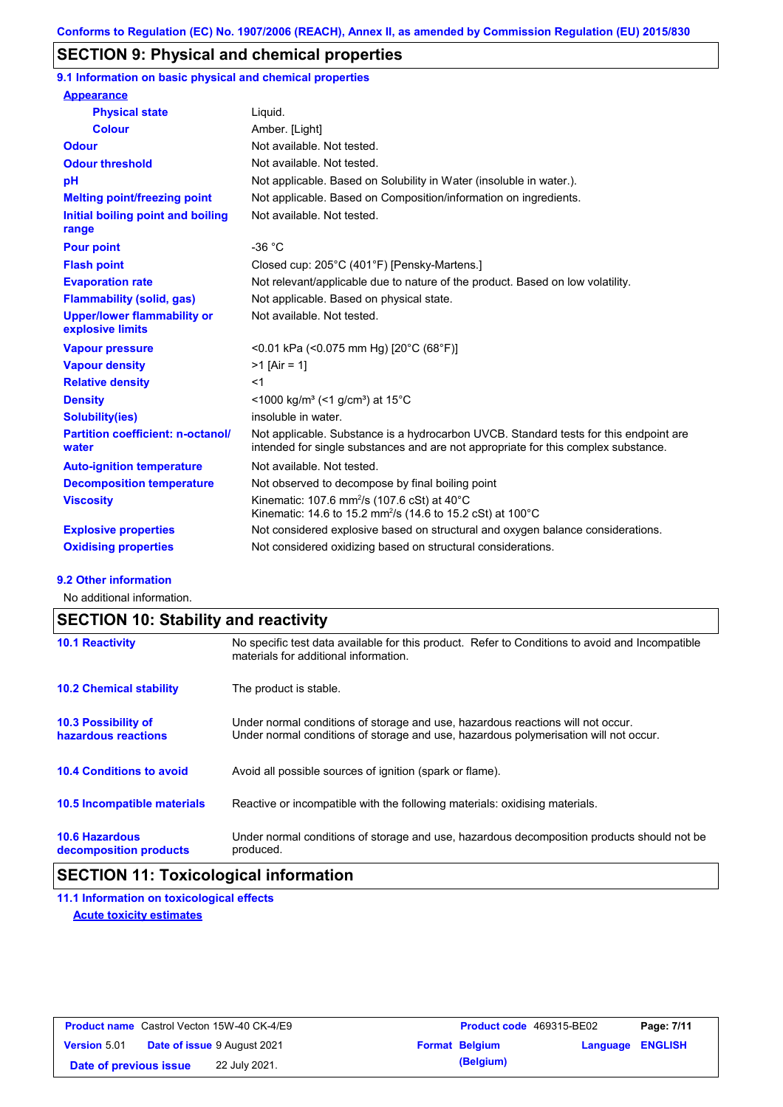## **SECTION 9: Physical and chemical properties**

**9.1 Information on basic physical and chemical properties**

| <b>Appearance</b>                                      |                                                                                                                                                                             |
|--------------------------------------------------------|-----------------------------------------------------------------------------------------------------------------------------------------------------------------------------|
| <b>Physical state</b>                                  | Liquid.                                                                                                                                                                     |
| <b>Colour</b>                                          | Amber. [Light]                                                                                                                                                              |
| <b>Odour</b>                                           | Not available. Not tested.                                                                                                                                                  |
| <b>Odour threshold</b>                                 | Not available. Not tested.                                                                                                                                                  |
| pH                                                     | Not applicable. Based on Solubility in Water (insoluble in water.).                                                                                                         |
| <b>Melting point/freezing point</b>                    | Not applicable. Based on Composition/information on ingredients.                                                                                                            |
| Initial boiling point and boiling<br>range             | Not available. Not tested.                                                                                                                                                  |
| <b>Pour point</b>                                      | $-36 °C$                                                                                                                                                                    |
| <b>Flash point</b>                                     | Closed cup: 205°C (401°F) [Pensky-Martens.]                                                                                                                                 |
| <b>Evaporation rate</b>                                | Not relevant/applicable due to nature of the product. Based on low volatility.                                                                                              |
| <b>Flammability (solid, gas)</b>                       | Not applicable. Based on physical state.                                                                                                                                    |
| <b>Upper/lower flammability or</b><br>explosive limits | Not available. Not tested.                                                                                                                                                  |
| <b>Vapour pressure</b>                                 | <0.01 kPa (<0.075 mm Hg) [20°C (68°F)]                                                                                                                                      |
| <b>Vapour density</b>                                  | $>1$ [Air = 1]                                                                                                                                                              |
| <b>Relative density</b>                                | $<$ 1                                                                                                                                                                       |
| <b>Density</b>                                         | $\leq$ 1000 kg/m <sup>3</sup> ( $\leq$ 1 g/cm <sup>3</sup> ) at 15 <sup>°</sup> C                                                                                           |
| <b>Solubility(ies)</b>                                 | insoluble in water.                                                                                                                                                         |
| <b>Partition coefficient: n-octanol/</b><br>water      | Not applicable. Substance is a hydrocarbon UVCB. Standard tests for this endpoint are<br>intended for single substances and are not appropriate for this complex substance. |
| <b>Auto-ignition temperature</b>                       | Not available. Not tested.                                                                                                                                                  |
| <b>Decomposition temperature</b>                       | Not observed to decompose by final boiling point                                                                                                                            |
| <b>Viscosity</b>                                       | Kinematic: 107.6 mm <sup>2</sup> /s (107.6 cSt) at $40^{\circ}$ C<br>Kinematic: 14.6 to 15.2 mm <sup>2</sup> /s (14.6 to 15.2 cSt) at 100°C                                 |
| <b>Explosive properties</b>                            | Not considered explosive based on structural and oxygen balance considerations.                                                                                             |
| <b>Oxidising properties</b>                            | Not considered oxidizing based on structural considerations.                                                                                                                |

#### **9.2 Other information**

No additional information.

# **SECTION 10: Stability and reactivity**

| <b>10.1 Reactivity</b>                            | No specific test data available for this product. Refer to Conditions to avoid and Incompatible<br>materials for additional information.                                |
|---------------------------------------------------|-------------------------------------------------------------------------------------------------------------------------------------------------------------------------|
| <b>10.2 Chemical stability</b>                    | The product is stable.                                                                                                                                                  |
| <b>10.3 Possibility of</b><br>hazardous reactions | Under normal conditions of storage and use, hazardous reactions will not occur.<br>Under normal conditions of storage and use, hazardous polymerisation will not occur. |
| <b>10.4 Conditions to avoid</b>                   | Avoid all possible sources of ignition (spark or flame).                                                                                                                |
| <b>10.5 Incompatible materials</b>                | Reactive or incompatible with the following materials: oxidising materials.                                                                                             |
| <b>10.6 Hazardous</b><br>decomposition products   | Under normal conditions of storage and use, hazardous decomposition products should not be<br>produced.                                                                 |

## **SECTION 11: Toxicological information**

**11.1 Information on toxicological effects Acute toxicity estimates**

| <b>Product name</b> Castrol Vecton 15W-40 CK-4/E9 |  | <b>Product code</b> 469315-BE02    |  | Page: 7/11            |                         |  |
|---------------------------------------------------|--|------------------------------------|--|-----------------------|-------------------------|--|
| <b>Version 5.01</b>                               |  | <b>Date of issue 9 August 2021</b> |  | <b>Format Belgium</b> | <b>Language ENGLISH</b> |  |
| Date of previous issue                            |  | 22 July 2021.                      |  | (Belgium)             |                         |  |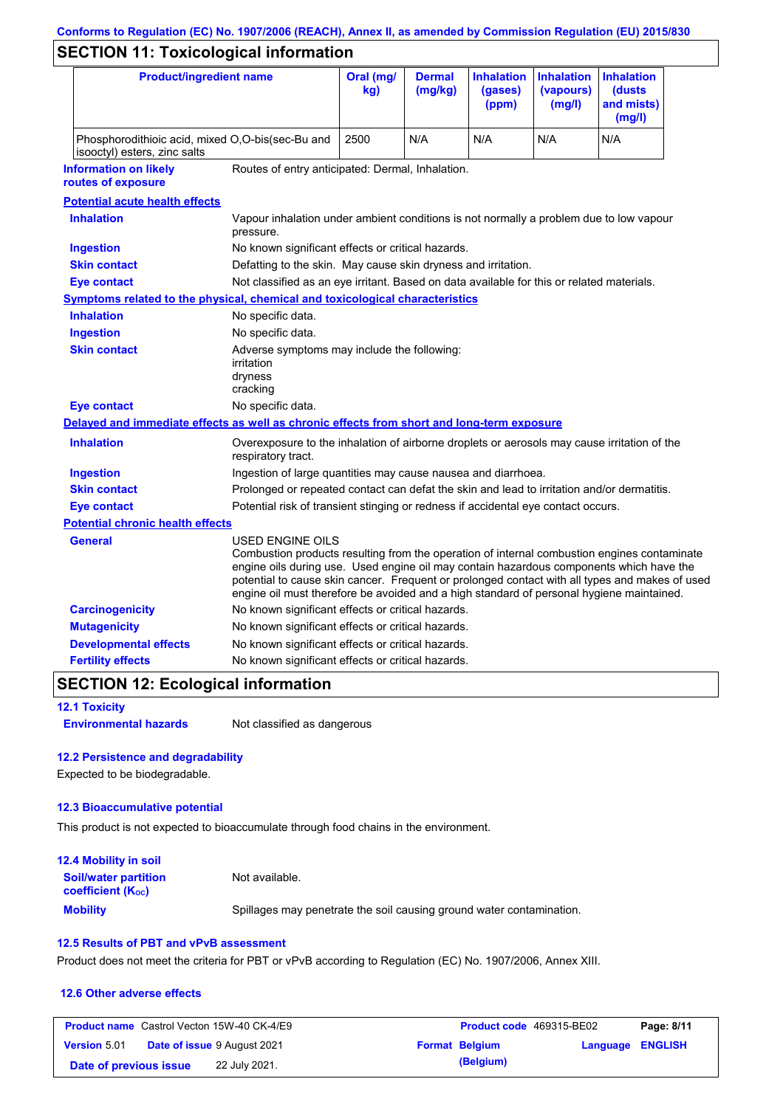# **Conforms to Regulation (EC) No. 1907/2006 (REACH), Annex II, as amended by Commission Regulation (EU) 2015/830**

# **SECTION 11: Toxicological information**

| <b>Product/ingredient name</b>                                                             |                                                                                                                                                                                                         | Oral (mg/<br>kg)                                                                           | <b>Dermal</b><br>(mg/kg) | <b>Inhalation</b><br>(gases)<br>(ppm) | <b>Inhalation</b><br>(vapours)<br>(mg/l) | <b>Inhalation</b><br>(dusts)<br>and mists)<br>(mg/l)                                                                                                                                          |
|--------------------------------------------------------------------------------------------|---------------------------------------------------------------------------------------------------------------------------------------------------------------------------------------------------------|--------------------------------------------------------------------------------------------|--------------------------|---------------------------------------|------------------------------------------|-----------------------------------------------------------------------------------------------------------------------------------------------------------------------------------------------|
| Phosphorodithioic acid, mixed O,O-bis(sec-Bu and<br>isooctyl) esters, zinc salts           |                                                                                                                                                                                                         | 2500                                                                                       | N/A                      | N/A                                   | N/A                                      | N/A                                                                                                                                                                                           |
| <b>Information on likely</b><br>routes of exposure                                         | Routes of entry anticipated: Dermal, Inhalation.                                                                                                                                                        |                                                                                            |                          |                                       |                                          |                                                                                                                                                                                               |
| <b>Potential acute health effects</b>                                                      |                                                                                                                                                                                                         |                                                                                            |                          |                                       |                                          |                                                                                                                                                                                               |
| <b>Inhalation</b>                                                                          | Vapour inhalation under ambient conditions is not normally a problem due to low vapour<br>pressure.                                                                                                     |                                                                                            |                          |                                       |                                          |                                                                                                                                                                                               |
| <b>Ingestion</b>                                                                           | No known significant effects or critical hazards.                                                                                                                                                       |                                                                                            |                          |                                       |                                          |                                                                                                                                                                                               |
| <b>Skin contact</b>                                                                        | Defatting to the skin. May cause skin dryness and irritation.                                                                                                                                           |                                                                                            |                          |                                       |                                          |                                                                                                                                                                                               |
| <b>Eye contact</b>                                                                         | Not classified as an eye irritant. Based on data available for this or related materials.                                                                                                               |                                                                                            |                          |                                       |                                          |                                                                                                                                                                                               |
| Symptoms related to the physical, chemical and toxicological characteristics               |                                                                                                                                                                                                         |                                                                                            |                          |                                       |                                          |                                                                                                                                                                                               |
| <b>Inhalation</b>                                                                          | No specific data.                                                                                                                                                                                       |                                                                                            |                          |                                       |                                          |                                                                                                                                                                                               |
| <b>Ingestion</b>                                                                           | No specific data.                                                                                                                                                                                       |                                                                                            |                          |                                       |                                          |                                                                                                                                                                                               |
| <b>Skin contact</b>                                                                        | Adverse symptoms may include the following:<br>irritation<br>dryness<br>cracking                                                                                                                        |                                                                                            |                          |                                       |                                          |                                                                                                                                                                                               |
| <b>Eye contact</b>                                                                         | No specific data.                                                                                                                                                                                       |                                                                                            |                          |                                       |                                          |                                                                                                                                                                                               |
| Delayed and immediate effects as well as chronic effects from short and long-term exposure |                                                                                                                                                                                                         |                                                                                            |                          |                                       |                                          |                                                                                                                                                                                               |
| <b>Inhalation</b>                                                                          | Overexposure to the inhalation of airborne droplets or aerosols may cause irritation of the<br>respiratory tract.                                                                                       |                                                                                            |                          |                                       |                                          |                                                                                                                                                                                               |
| <b>Ingestion</b>                                                                           |                                                                                                                                                                                                         | Ingestion of large quantities may cause nausea and diarrhoea.                              |                          |                                       |                                          |                                                                                                                                                                                               |
| <b>Skin contact</b>                                                                        |                                                                                                                                                                                                         | Prolonged or repeated contact can defat the skin and lead to irritation and/or dermatitis. |                          |                                       |                                          |                                                                                                                                                                                               |
| <b>Eye contact</b>                                                                         |                                                                                                                                                                                                         | Potential risk of transient stinging or redness if accidental eye contact occurs.          |                          |                                       |                                          |                                                                                                                                                                                               |
| <b>Potential chronic health effects</b>                                                    |                                                                                                                                                                                                         |                                                                                            |                          |                                       |                                          |                                                                                                                                                                                               |
| General                                                                                    | USED ENGINE OILS<br>engine oils during use. Used engine oil may contain hazardous components which have the<br>engine oil must therefore be avoided and a high standard of personal hygiene maintained. |                                                                                            |                          |                                       |                                          | Combustion products resulting from the operation of internal combustion engines contaminate<br>potential to cause skin cancer. Frequent or prolonged contact with all types and makes of used |
| <b>Carcinogenicity</b>                                                                     | No known significant effects or critical hazards.                                                                                                                                                       |                                                                                            |                          |                                       |                                          |                                                                                                                                                                                               |
| <b>Mutagenicity</b>                                                                        | No known significant effects or critical hazards.                                                                                                                                                       |                                                                                            |                          |                                       |                                          |                                                                                                                                                                                               |
| <b>Developmental effects</b>                                                               | No known significant effects or critical hazards.                                                                                                                                                       |                                                                                            |                          |                                       |                                          |                                                                                                                                                                                               |
| <b>Fertility effects</b>                                                                   | No known significant effects or critical hazards.                                                                                                                                                       |                                                                                            |                          |                                       |                                          |                                                                                                                                                                                               |

## **SECTION 12: Ecological information**

**12.1 Toxicity**

**Environmental hazards** Not classified as dangerous

### **12.2 Persistence and degradability**

Expected to be biodegradable.

### **12.3 Bioaccumulative potential**

This product is not expected to bioaccumulate through food chains in the environment.

| <b>12.4 Mobility in soil</b>                                         |                                                                      |
|----------------------------------------------------------------------|----------------------------------------------------------------------|
| <b>Soil/water partition</b><br><b>coefficient</b> (K <sub>oc</sub> ) | Not available.                                                       |
| <b>Mobility</b>                                                      | Spillages may penetrate the soil causing ground water contamination. |

### **12.5 Results of PBT and vPvB assessment**

Product does not meet the criteria for PBT or vPvB according to Regulation (EC) No. 1907/2006, Annex XIII.

### **12.6 Other adverse effects**

|                        | <b>Product name</b> Castrol Vecton 15W-40 CK-4/E9 | <b>Product code</b> 469315-BE02 |                         | Page: 8/11 |
|------------------------|---------------------------------------------------|---------------------------------|-------------------------|------------|
| <b>Version 5.01</b>    | <b>Date of issue 9 August 2021</b>                | <b>Format Belgium</b>           | <b>Language ENGLISH</b> |            |
| Date of previous issue | 22 July 2021.                                     | (Belgium)                       |                         |            |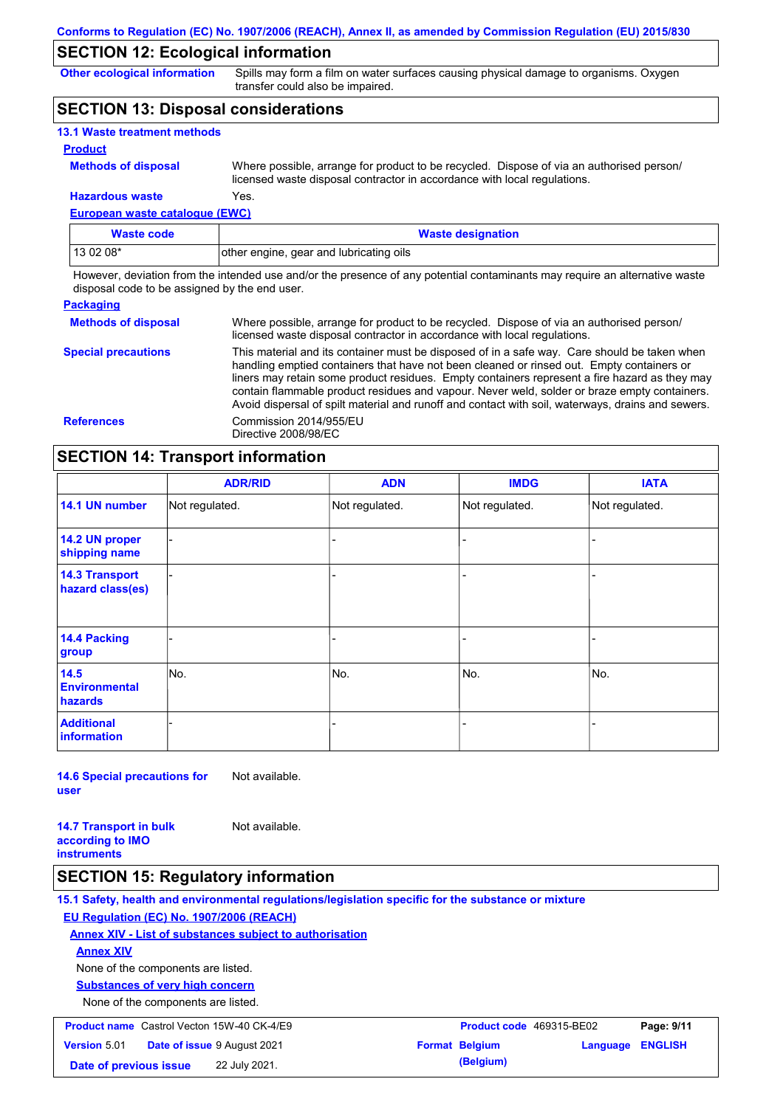## **SECTION 12: Ecological information**

**Other ecological information**

Spills may form a film on water surfaces causing physical damage to organisms. Oxygen transfer could also be impaired.

### **SECTION 13: Disposal considerations**

| <b>13.1 Waste treatment methods</b> |                                                                                                                                                                      |
|-------------------------------------|----------------------------------------------------------------------------------------------------------------------------------------------------------------------|
| <b>Product</b>                      |                                                                                                                                                                      |
| <b>Methods of disposal</b>          | Where possible, arrange for product to be recycled. Dispose of via an authorised person/<br>licensed waste disposal contractor in accordance with local regulations. |
| <b>Hazardous waste</b>              | Yes.                                                                                                                                                                 |

**European waste catalogue (EWC)**

| Waste code | <b>Waste designation</b>                |  |
|------------|-----------------------------------------|--|
| $130208*$  | other engine, gear and lubricating oils |  |

However, deviation from the intended use and/or the presence of any potential contaminants may require an alternative waste disposal code to be assigned by the end user.

| <b>Packaging</b>           |                                                                                                                                                                                                                                                                                                                                                                                                                                                                                                 |
|----------------------------|-------------------------------------------------------------------------------------------------------------------------------------------------------------------------------------------------------------------------------------------------------------------------------------------------------------------------------------------------------------------------------------------------------------------------------------------------------------------------------------------------|
| <b>Methods of disposal</b> | Where possible, arrange for product to be recycled. Dispose of via an authorised person/<br>licensed waste disposal contractor in accordance with local regulations.                                                                                                                                                                                                                                                                                                                            |
| <b>Special precautions</b> | This material and its container must be disposed of in a safe way. Care should be taken when<br>handling emptied containers that have not been cleaned or rinsed out. Empty containers or<br>liners may retain some product residues. Empty containers represent a fire hazard as they may<br>contain flammable product residues and vapour. Never weld, solder or braze empty containers.<br>Avoid dispersal of spilt material and runoff and contact with soil, waterways, drains and sewers. |
| <b>References</b>          | Commission 2014/955/EU<br>Directive 2008/98/EC                                                                                                                                                                                                                                                                                                                                                                                                                                                  |

## **SECTION 14: Transport information**

|                                           | <b>ADR/RID</b> | <b>ADN</b>     | <b>IMDG</b>    | <b>IATA</b>    |
|-------------------------------------------|----------------|----------------|----------------|----------------|
| 14.1 UN number                            | Not regulated. | Not regulated. | Not regulated. | Not regulated. |
| 14.2 UN proper<br>shipping name           |                |                | -              |                |
| <b>14.3 Transport</b><br>hazard class(es) |                |                | ۰              |                |
| 14.4 Packing<br>group                     |                |                | -              |                |
| 14.5<br><b>Environmental</b><br>hazards   | No.            | No.            | No.            | No.            |
| <b>Additional</b><br><b>information</b>   |                |                |                |                |

**14.6 Special precautions for user** Not available.

**14.7 Transport in bulk according to IMO instruments** Not available.

### **SECTION 15: Regulatory information**

**15.1 Safety, health and environmental regulations/legislation specific for the substance or mixture EU Regulation (EC) No. 1907/2006 (REACH) Annex XIV - List of substances subject to authorisation Substances of very high concern** None of the components are listed. None of the components are listed. **Annex XIV Product name** Castrol Vecton 15W-40 CK-4/E9 **Product Code 469315-BE02 Page: 9/11 Version** 5.01 **Date of issue** 9 August 2021 **Format Belgium Language ENGLISH Date of previous issue** 22 July 2021.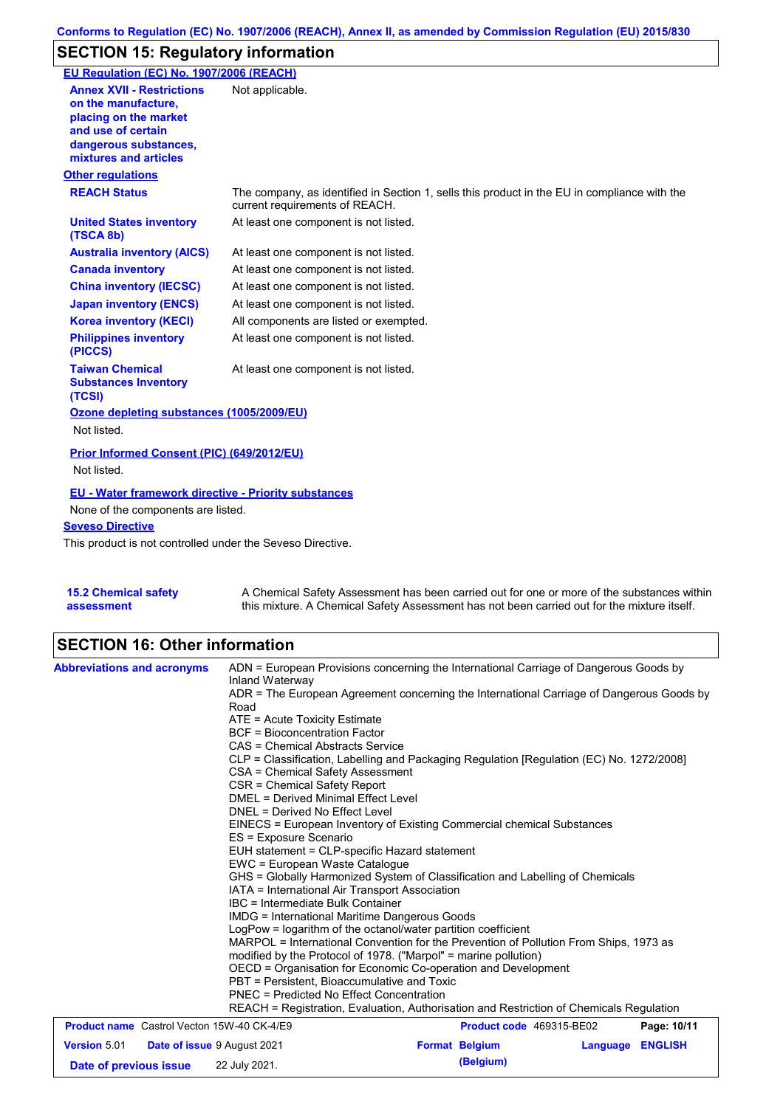# **SECTION 15: Regulatory information**

| EU Regulation (EC) No. 1907/2006 (REACH)                                                                                                                 |                                                                                                                                |
|----------------------------------------------------------------------------------------------------------------------------------------------------------|--------------------------------------------------------------------------------------------------------------------------------|
| <b>Annex XVII - Restrictions</b><br>on the manufacture.<br>placing on the market<br>and use of certain<br>dangerous substances,<br>mixtures and articles | Not applicable.                                                                                                                |
| <b>Other regulations</b>                                                                                                                                 |                                                                                                                                |
| <b>REACH Status</b>                                                                                                                                      | The company, as identified in Section 1, sells this product in the EU in compliance with the<br>current requirements of REACH. |
| <b>United States inventory</b><br>(TSCA 8b)                                                                                                              | At least one component is not listed.                                                                                          |
| <b>Australia inventory (AICS)</b>                                                                                                                        | At least one component is not listed.                                                                                          |
| <b>Canada inventory</b>                                                                                                                                  | At least one component is not listed.                                                                                          |
| <b>China inventory (IECSC)</b>                                                                                                                           | At least one component is not listed.                                                                                          |
| <b>Japan inventory (ENCS)</b>                                                                                                                            | At least one component is not listed.                                                                                          |
| <b>Korea inventory (KECI)</b>                                                                                                                            | All components are listed or exempted.                                                                                         |
| <b>Philippines inventory</b><br>(PICCS)                                                                                                                  | At least one component is not listed.                                                                                          |
| <b>Taiwan Chemical</b><br><b>Substances Inventory</b><br>(TCSI)                                                                                          | At least one component is not listed.                                                                                          |
| Ozone depleting substances (1005/2009/EU)                                                                                                                |                                                                                                                                |
| Not listed.                                                                                                                                              |                                                                                                                                |
| Prior Informed Consent (PIC) (649/2012/EU)<br>Not listed.                                                                                                |                                                                                                                                |
| <b>EU - Water framework directive - Priority substances</b>                                                                                              |                                                                                                                                |
| None of the components are listed.                                                                                                                       |                                                                                                                                |
| <b>Seveso Directive</b>                                                                                                                                  |                                                                                                                                |
| This product is not controlled under the Seveso Directive.                                                                                               |                                                                                                                                |

**15.2 Chemical safety assessment** A Chemical Safety Assessment has been carried out for one or more of the substances within this mixture. A Chemical Safety Assessment has not been carried out for the mixture itself.

# **SECTION 16: Other information**

| <b>Abbreviations and acronyms</b>                         | ADN = European Provisions concerning the International Carriage of Dangerous Goods by<br>Inland Waterway<br>ADR = The European Agreement concerning the International Carriage of Dangerous Goods by<br>Road<br>$ATE = Acute Toxicity Estimate$                                                                                                                                                                                                                                                                                                                                                                                                        |                              |          |                |  |                                                                                                                                                          |                                                                 |  |  |  |
|-----------------------------------------------------------|--------------------------------------------------------------------------------------------------------------------------------------------------------------------------------------------------------------------------------------------------------------------------------------------------------------------------------------------------------------------------------------------------------------------------------------------------------------------------------------------------------------------------------------------------------------------------------------------------------------------------------------------------------|------------------------------|----------|----------------|--|----------------------------------------------------------------------------------------------------------------------------------------------------------|-----------------------------------------------------------------|--|--|--|
|                                                           | <b>BCF</b> = Bioconcentration Factor                                                                                                                                                                                                                                                                                                                                                                                                                                                                                                                                                                                                                   |                              |          |                |  |                                                                                                                                                          |                                                                 |  |  |  |
|                                                           | CAS = Chemical Abstracts Service                                                                                                                                                                                                                                                                                                                                                                                                                                                                                                                                                                                                                       |                              |          |                |  |                                                                                                                                                          |                                                                 |  |  |  |
|                                                           | CLP = Classification, Labelling and Packaging Regulation [Regulation (EC) No. 1272/2008]                                                                                                                                                                                                                                                                                                                                                                                                                                                                                                                                                               |                              |          |                |  |                                                                                                                                                          |                                                                 |  |  |  |
|                                                           | CSA = Chemical Safety Assessment                                                                                                                                                                                                                                                                                                                                                                                                                                                                                                                                                                                                                       |                              |          |                |  |                                                                                                                                                          |                                                                 |  |  |  |
|                                                           |                                                                                                                                                                                                                                                                                                                                                                                                                                                                                                                                                                                                                                                        | CSR = Chemical Safety Report |          |                |  |                                                                                                                                                          |                                                                 |  |  |  |
|                                                           | DMEL = Derived Minimal Effect Level<br>DNEL = Derived No Effect Level<br>EINECS = European Inventory of Existing Commercial chemical Substances<br>ES = Exposure Scenario<br>EUH statement = CLP-specific Hazard statement<br>EWC = European Waste Catalogue<br>GHS = Globally Harmonized System of Classification and Labelling of Chemicals<br>IATA = International Air Transport Association<br>IBC = Intermediate Bulk Container<br><b>IMDG</b> = International Maritime Dangerous Goods<br>LogPow = logarithm of the octanol/water partition coefficient<br>MARPOL = International Convention for the Prevention of Pollution From Ships, 1973 as |                              |          |                |  |                                                                                                                                                          |                                                                 |  |  |  |
|                                                           |                                                                                                                                                                                                                                                                                                                                                                                                                                                                                                                                                                                                                                                        |                              |          |                |  |                                                                                                                                                          |                                                                 |  |  |  |
|                                                           |                                                                                                                                                                                                                                                                                                                                                                                                                                                                                                                                                                                                                                                        |                              |          |                |  |                                                                                                                                                          |                                                                 |  |  |  |
|                                                           |                                                                                                                                                                                                                                                                                                                                                                                                                                                                                                                                                                                                                                                        |                              |          |                |  |                                                                                                                                                          |                                                                 |  |  |  |
|                                                           |                                                                                                                                                                                                                                                                                                                                                                                                                                                                                                                                                                                                                                                        |                              |          |                |  |                                                                                                                                                          |                                                                 |  |  |  |
|                                                           |                                                                                                                                                                                                                                                                                                                                                                                                                                                                                                                                                                                                                                                        |                              |          |                |  |                                                                                                                                                          |                                                                 |  |  |  |
|                                                           |                                                                                                                                                                                                                                                                                                                                                                                                                                                                                                                                                                                                                                                        |                              |          |                |  |                                                                                                                                                          | modified by the Protocol of 1978. ("Marpol" = marine pollution) |  |  |  |
|                                                           |                                                                                                                                                                                                                                                                                                                                                                                                                                                                                                                                                                                                                                                        |                              |          |                |  | OECD = Organisation for Economic Co-operation and Development<br>PBT = Persistent, Bioaccumulative and Toxic<br>PNEC = Predicted No Effect Concentration |                                                                 |  |  |  |
|                                                           |                                                                                                                                                                                                                                                                                                                                                                                                                                                                                                                                                                                                                                                        |                              |          |                |  |                                                                                                                                                          |                                                                 |  |  |  |
|                                                           |                                                                                                                                                                                                                                                                                                                                                                                                                                                                                                                                                                                                                                                        |                              |          |                |  | REACH = Registration, Evaluation, Authorisation and Restriction of Chemicals Regulation                                                                  |                                                                 |  |  |  |
|                                                           |                                                                                                                                                                                                                                                                                                                                                                                                                                                                                                                                                                                                                                                        |                              |          |                |  |                                                                                                                                                          |                                                                 |  |  |  |
| <b>Product name</b> Castrol Vecton 15W-40 CK-4/E9         |                                                                                                                                                                                                                                                                                                                                                                                                                                                                                                                                                                                                                                                        | Product code 469315-BE02     |          | Page: 10/11    |  |                                                                                                                                                          |                                                                 |  |  |  |
| <b>Version 5.01</b><br><b>Date of issue 9 August 2021</b> |                                                                                                                                                                                                                                                                                                                                                                                                                                                                                                                                                                                                                                                        | <b>Format Belgium</b>        | Language | <b>ENGLISH</b> |  |                                                                                                                                                          |                                                                 |  |  |  |
| Date of previous issue                                    | 22 July 2021.                                                                                                                                                                                                                                                                                                                                                                                                                                                                                                                                                                                                                                          | (Belgium)                    |          |                |  |                                                                                                                                                          |                                                                 |  |  |  |